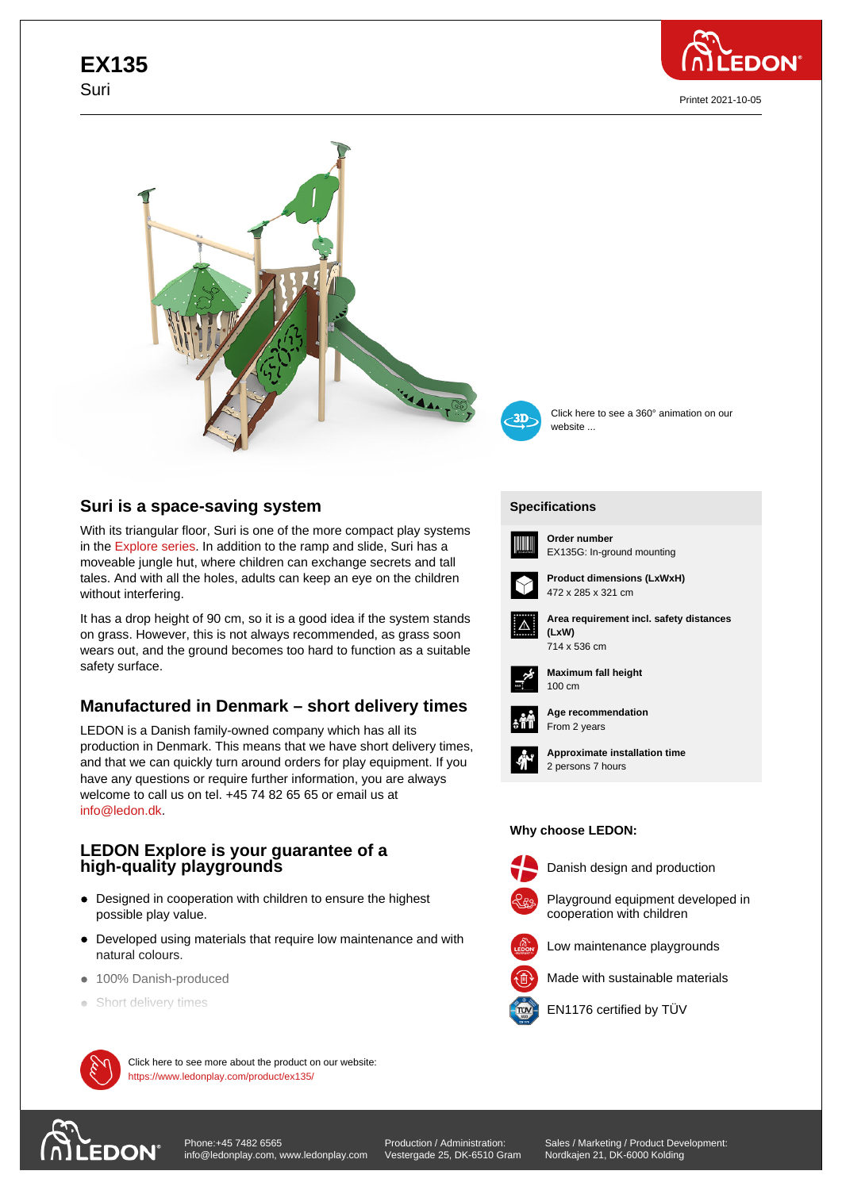# **EX135** Suri



Printet 2021-10-05





Click here to see a 360° animation on our website ...

# **Suri is a space-saving system**

With its triangular floor, Suri is one of the more compact play systems in the Explore series. In addition to the ramp and slide, Suri has a moveable jungle hut, where children can exchange secrets and tall tales. And with all the holes, adults can keep an eye on the children without interfering.

It has [a drop height o](https://www.ledonplay.com/explore/)f 90 cm, so it is a good idea if the system stands on grass. However, this is not always recommended, as grass soon wears out, and the ground becomes too hard to function as a suitable safety surface.

# **Manufactured in Denmark – short delivery times**

LEDON is a Danish family-owned company which has all its production in Denmark. This means that we have short delivery times, and that we can quickly turn around orders for play equipment. If you have any questions or require further information, you are always welcome to call us on tel. +45 74 82 65 65 or email us at info@ledon.dk.

### **LEDON Explore is your guarantee of a high-quality playgrounds**

- Designed in cooperation with children to ensure the highest possible play value.
- Developed using materials that require low maintenance and with natural colours.
- $\bullet$  100% Danish-produced
- Short delivery times



 $\mathcal{M}$  Click here to see more about the product on our website: https://www.ledonplay.com/product/ex135/

# **[Specific](https://www.ledonplay.com/product/ex135/)ations [Speci](https://www.ledonplay.com/product/ex135/)fications**



**Order number** EX135G: In-ground mounting



472 x 285 x 321 cm



**Area requirement incl. safety distances (LxW) (LxW)**





**Maximum fall height** 100 cm 100 cm



**Age recommendation** From 2 years



**Approximate installation time** 2 persons 7 hours

#### **Why choose LEDON: Why choose LEDON:**



Danish design and production



Playground equipment developed in





Made with sustainable materials



EN1176 certified by TÜV

[Phone:+45 7482 6565](https://www.ledonplay.com/product/ex135/) **EDON** info@ledonplay.com, www.ledonplay.com

Production / Administration: Vestergade 25, DK-6510 Gram

Sales / Marketing / Product Development: Nordkajen 21, DK-6000 Kolding